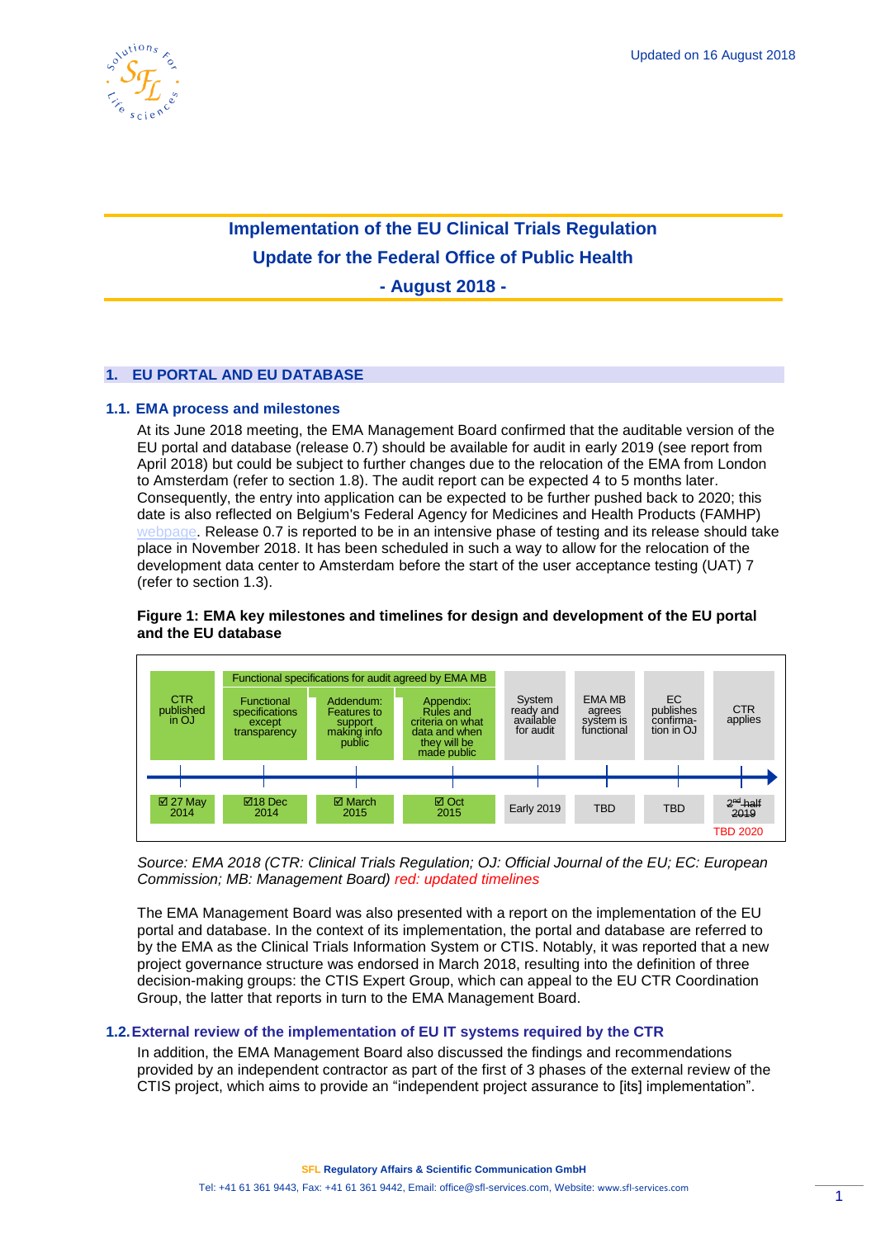

# **Implementation of the EU Clinical Trials Regulation Update for the Federal Office of Public Health**

**- August 2018 -**

# **1. EU PORTAL AND EU DATABASE**

# **1.1. EMA process and milestones**

At its June 2018 meeting, the EMA Management Board confirmed that the auditable version of the EU portal and database (release 0.7) should be available for audit in early 2019 (see report from April 2018) but could be subject to further changes due to the relocation of the EMA from London to Amsterdam (refer to section 1.8). The audit report can be expected 4 to 5 months later. Consequently, the entry into application can be expected to be further pushed back to 2020; this date is also reflected on Belgium's Federal Agency for Medicines and Health Products (FAMHP) [webpage.](https://www.famhp.be/en/human_use/medicines/medicines/research_development/clinical_trials) Release 0.7 is reported to be in an intensive phase of testing and its release should take place in November 2018. It has been scheduled in such a way to allow for the relocation of the development data center to Amsterdam before the start of the user acceptance testing (UAT) 7 (refer to section 1.3).



#### **Figure 1: EMA key milestones and timelines for design and development of the EU portal and the EU database**

*Source: EMA 2018 (CTR: Clinical Trials Regulation; OJ: Official Journal of the EU; EC: European Commission; MB: Management Board) red: updated timelines*

The EMA Management Board was also presented with a report on the implementation of the EU portal and database. In the context of its implementation, the portal and database are referred to by the EMA as the Clinical Trials Information System or CTIS. Notably, it was reported that a new project governance structure was endorsed in March 2018, resulting into the definition of three decision-making groups: the CTIS Expert Group, which can appeal to the EU CTR Coordination Group, the latter that reports in turn to the EMA Management Board.

# **1.2.External review of the implementation of EU IT systems required by the CTR**

In addition, the EMA Management Board also discussed the findings and recommendations provided by an independent contractor as part of the first of 3 phases of the external review of the CTIS project, which aims to provide an "independent project assurance to [its] implementation".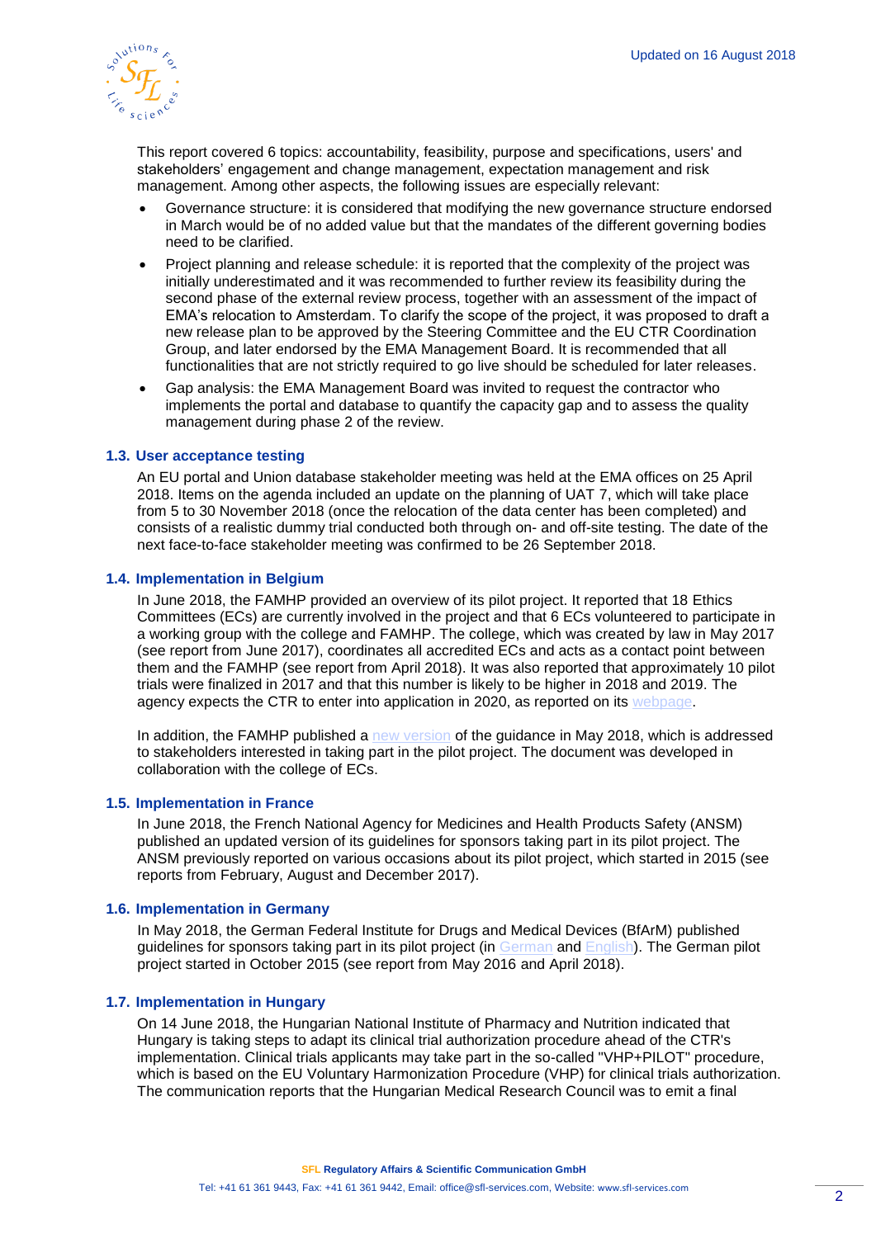

This report covered 6 topics: accountability, feasibility, purpose and specifications, users' and stakeholders' engagement and change management, expectation management and risk management. Among other aspects, the following issues are especially relevant:

- Governance structure: it is considered that modifying the new governance structure endorsed in March would be of no added value but that the mandates of the different governing bodies need to be clarified.
- Project planning and release schedule: it is reported that the complexity of the project was initially underestimated and it was recommended to further review its feasibility during the second phase of the external review process, together with an assessment of the impact of EMA's relocation to Amsterdam. To clarify the scope of the project, it was proposed to draft a new release plan to be approved by the Steering Committee and the EU CTR Coordination Group, and later endorsed by the EMA Management Board. It is recommended that all functionalities that are not strictly required to go live should be scheduled for later releases.
- Gap analysis: the EMA Management Board was invited to request the contractor who implements the portal and database to quantify the capacity gap and to assess the quality management during phase 2 of the review.

#### **1.3. User acceptance testing**

An EU portal and Union database stakeholder meeting was held at the EMA offices on 25 April 2018. Items on the agenda included an update on the planning of UAT 7, which will take place from 5 to 30 November 2018 (once the relocation of the data center has been completed) and consists of a realistic dummy trial conducted both through on- and off-site testing. The date of the next face-to-face stakeholder meeting was confirmed to be 26 September 2018.

#### **1.4. Implementation in Belgium**

In June 2018, the FAMHP provided an overview of its pilot project. It reported that 18 Ethics Committees (ECs) are currently involved in the project and that 6 ECs volunteered to participate in a working group with the college and FAMHP. The college, which was created by law in May 2017 (see report from June 2017), coordinates all accredited ECs and acts as a contact point between them and the FAMHP (see report from April 2018). It was also reported that approximately 10 pilot trials were finalized in 2017 and that this number is likely to be higher in 2018 and 2019. The agency expects the CTR to enter into application in 2020, as reported on its [webpage.](https://www.famhp.be/en/human_use/medicines/medicines/research_development/clinical_trials)

In addition, the FAMHP published a [new version](https://www.famhp.be/sites/default/files/content/guidance_ctr_pilot_project_for_sponsors_v4.0_20180515_4.pdf) of the guidance in May 2018, which is addressed to stakeholders interested in taking part in the pilot project. The document was developed in collaboration with the college of ECs.

#### **1.5. Implementation in France**

In June 2018, the French National Agency for Medicines and Health Products Safety (ANSM) published an updated version of its guidelines for sponsors taking part in its pilot project. The ANSM previously reported on various occasions about its pilot project, which started in 2015 (see reports from February, August and December 2017).

#### **1.6. Implementation in Germany**

In May 2018, the German Federal Institute for Drugs and Medical Devices (BfArM) published guidelines for sponsors taking part in its pilot project (in [German](https://www.bfarm.de/SharedDocs/Downloads/DE/Arzneimittel/Zulassung/klin-pr/pilotprojekt/Leitfaden.pdf?__blob=publicationFile&v=5) and [English\)](https://www.bfarm.de/SharedDocs/Downloads/DE/Arzneimittel/Zulassung/klin-pr/pilotprojekt/Guideline.pdf?__blob=publicationFile&v=4). The German pilot project started in October 2015 (see report from May 2016 and April 2018).

#### **1.7. Implementation in Hungary**

On 14 June 2018, the Hungarian National Institute of Pharmacy and Nutrition indicated that Hungary is taking steps to adapt its clinical trial authorization procedure ahead of the CTR's implementation. Clinical trials applicants may take part in the so-called "VHP+PILOT" procedure, which is based on the EU Voluntary Harmonization Procedure (VHP) for clinical trials authorization. The communication reports that the Hungarian Medical Research Council was to emit a final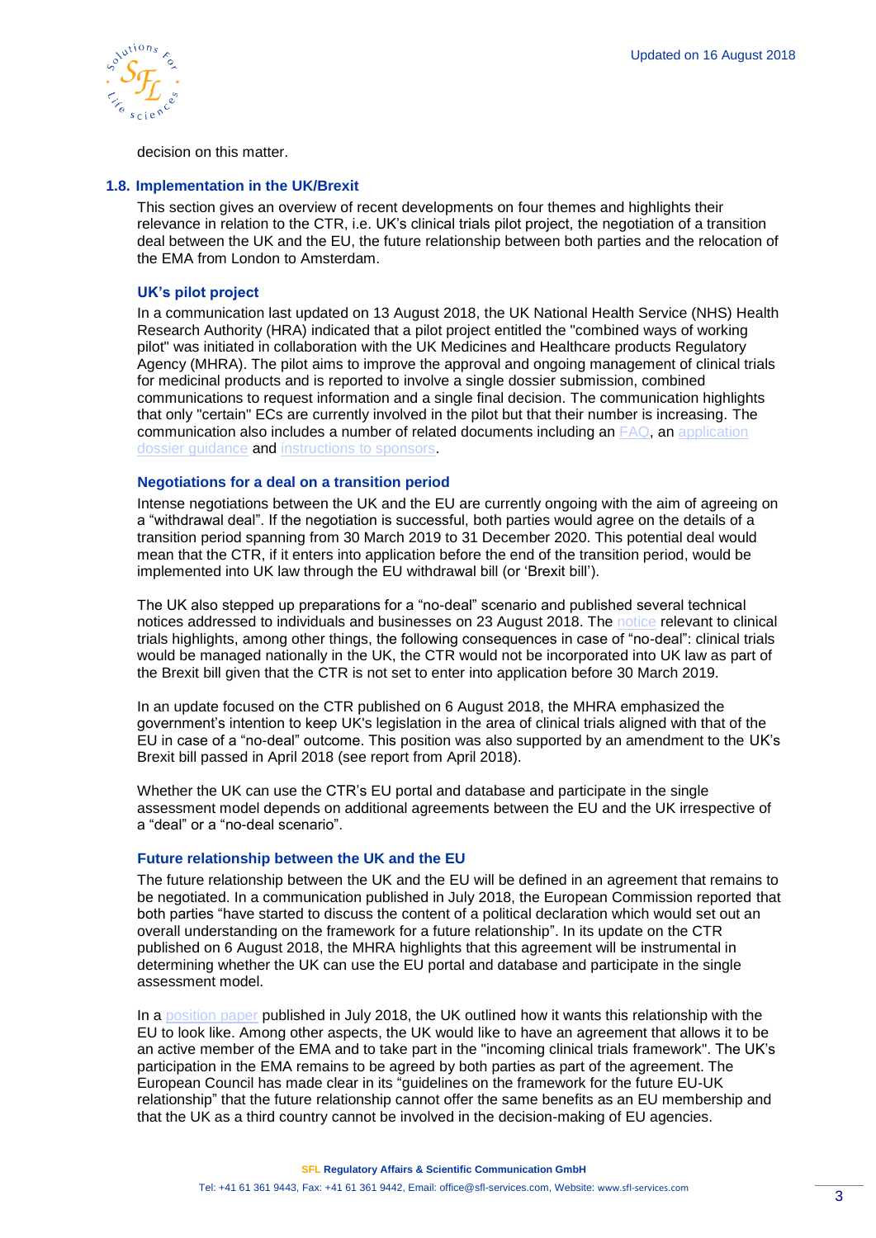

decision on this matter.

#### **1.8. Implementation in the UK/Brexit**

This section gives an overview of recent developments on four themes and highlights their relevance in relation to the CTR, i.e. UK's clinical trials pilot project, the negotiation of a transition deal between the UK and the EU, the future relationship between both parties and the relocation of the EMA from London to Amsterdam.

# **UK's pilot project**

In a communication last updated on 13 August 2018, the UK National Health Service (NHS) Health Research Authority (HRA) indicated that a pilot project entitled the "combined ways of working pilot" was initiated in collaboration with the UK Medicines and Healthcare products Regulatory Agency (MHRA). The pilot aims to improve the approval and ongoing management of clinical trials for medicinal products and is reported to involve a single dossier submission, combined communications to request information and a single final decision. The communication highlights that only "certain" ECs are currently involved in the pilot but that their number is increasing. The communication also includes a number of related documents including an [FAQ,](https://www.hra.nhs.uk/planning-and-improving-research/policies-standards-legislation/clinical-trials-investigational-medicinal-products-ctimps/combined-ways-working-pilot/faqs/) an [application](https://www.hra.nhs.uk/documents/1563/Combined_ways_of_working_pilot__application_dossier_guidance.pdf)  [dossier guidance](https://www.hra.nhs.uk/documents/1563/Combined_ways_of_working_pilot__application_dossier_guidance.pdf) and [instructions to sponsors.](https://www.hra.nhs.uk/documents/1579/MHRA_and_RES_combined_ways_of_working_pilot_instructions_to_sponsors.pdf)

# **Negotiations for a deal on a transition period**

Intense negotiations between the UK and the EU are currently ongoing with the aim of agreeing on a "withdrawal deal". If the negotiation is successful, both parties would agree on the details of a transition period spanning from 30 March 2019 to 31 December 2020. This potential deal would mean that the CTR, if it enters into application before the end of the transition period, would be implemented into UK law through the EU withdrawal bill (or 'Brexit bill').

The UK also stepped up preparations for a "no-deal" scenario and published several technical notices addressed to individuals and businesses on 23 August 2018. The [notice](https://www.gov.uk/government/publications/how-medicines-medical-devices-and-clinical-trials-would-be-regulated-if-theres-no-brexit-deal/how-medicines-medical-devices-and-clinical-trials-would-be-regulated-if-theres-no-brexit-deal) relevant to clinical trials highlights, among other things, the following consequences in case of "no-deal": clinical trials would be managed nationally in the UK, the CTR would not be incorporated into UK law as part of the Brexit bill given that the CTR is not set to enter into application before 30 March 2019.

In an update focused on the CTR published on 6 August 2018, the MHRA emphasized the government's intention to keep UK's legislation in the area of clinical trials aligned with that of the EU in case of a "no-deal" outcome. This position was also supported by an amendment to the UK's Brexit bill passed in April 2018 (see report from April 2018).

Whether the UK can use the CTR's EU portal and database and participate in the single assessment model depends on additional agreements between the EU and the UK irrespective of a "deal" or a "no-deal scenario".

# **Future relationship between the UK and the EU**

The future relationship between the UK and the EU will be defined in an agreement that remains to be negotiated. In a communication published in July 2018, the European Commission reported that both parties "have started to discuss the content of a political declaration which would set out an overall understanding on the framework for a future relationship". In its update on the CTR published on 6 August 2018, the MHRA highlights that this agreement will be instrumental in determining whether the UK can use the EU portal and database and participate in the single assessment model.

In a [position paper](https://assets.publishing.service.gov.uk/government/uploads/system/uploads/attachment_data/file/725288/The_future_relationship_between_the_United_Kingdom_and_the_European_Union.pdf) published in July 2018, the UK outlined how it wants this relationship with the EU to look like. Among other aspects, the UK would like to have an agreement that allows it to be an active member of the EMA and to take part in the "incoming clinical trials framework". The UK's participation in the EMA remains to be agreed by both parties as part of the agreement. The European Council has made clear in its "guidelines on the framework for the future EU-UK relationship" that the future relationship cannot offer the same benefits as an EU membership and that the UK as a third country cannot be involved in the decision-making of EU agencies.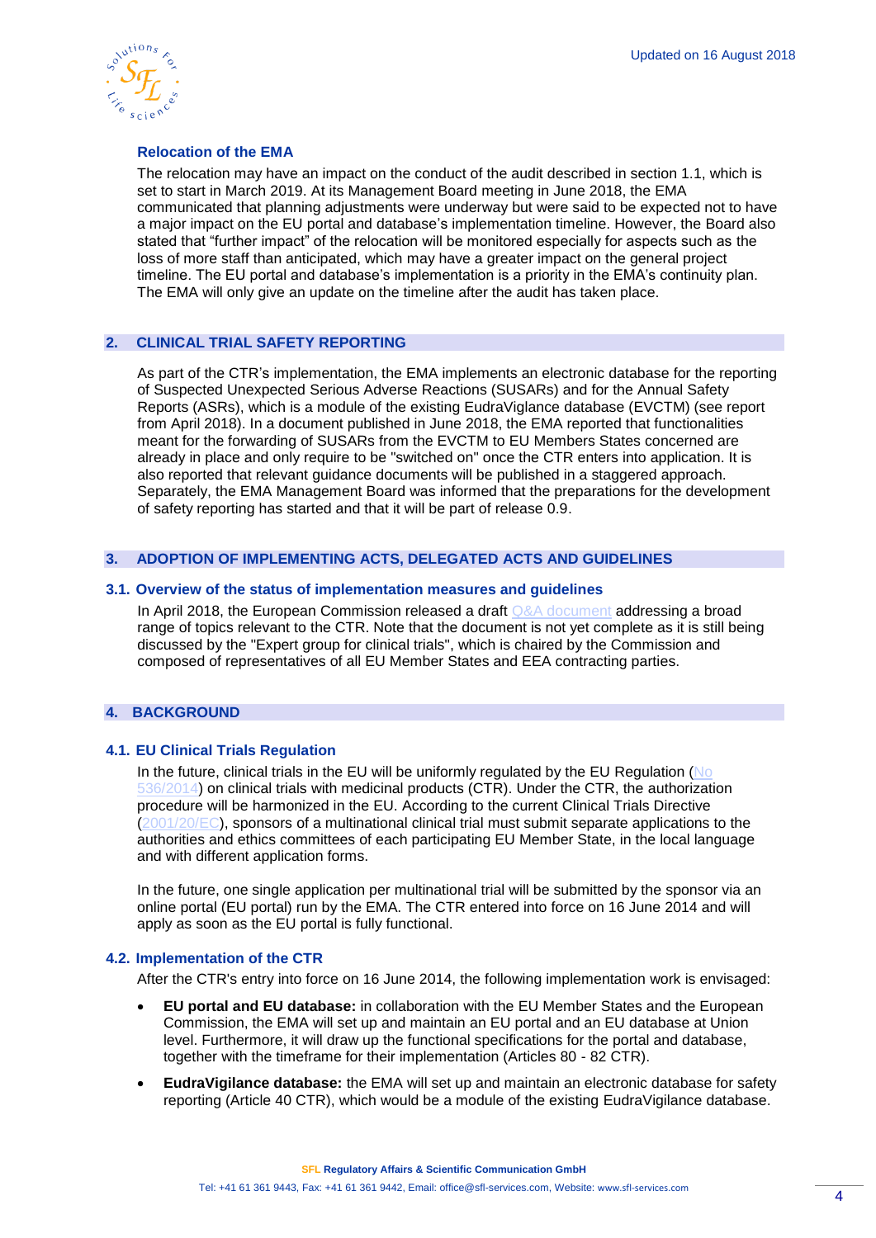

# **Relocation of the EMA**

The relocation may have an impact on the conduct of the audit described in section 1.1, which is set to start in March 2019. At its Management Board meeting in June 2018, the EMA communicated that planning adjustments were underway but were said to be expected not to have a major impact on the EU portal and database's implementation timeline. However, the Board also stated that "further impact" of the relocation will be monitored especially for aspects such as the loss of more staff than anticipated, which may have a greater impact on the general project timeline. The EU portal and database's implementation is a priority in the EMA's continuity plan. The EMA will only give an update on the timeline after the audit has taken place.

# **2. CLINICAL TRIAL SAFETY REPORTING**

As part of the CTR's implementation, the EMA implements an electronic database for the reporting of Suspected Unexpected Serious Adverse Reactions (SUSARs) and for the Annual Safety Reports (ASRs), which is a module of the existing EudraViglance database (EVCTM) (see report from April 2018). In a document published in June 2018, the EMA reported that functionalities meant for the forwarding of SUSARs from the EVCTM to EU Members States concerned are already in place and only require to be "switched on" once the CTR enters into application. It is also reported that relevant guidance documents will be published in a staggered approach. Separately, the EMA Management Board was informed that the preparations for the development of safety reporting has started and that it will be part of release 0.9.

# **3. ADOPTION OF IMPLEMENTING ACTS, DELEGATED ACTS AND GUIDELINES**

#### **3.1. Overview of the status of implementation measures and guidelines**

In April 2018, the European Commission released a draft [Q&A document](https://ec.europa.eu/health/sites/health/files/files/eudralex/vol-10/regulation5362014_qa_en.pdf) addressing a broad range of topics relevant to the CTR. Note that the document is not yet complete as it is still being discussed by the "Expert group for clinical trials", which is chaired by the Commission and composed of representatives of all EU Member States and EEA contracting parties.

# **4. BACKGROUND**

#### **4.1. EU Clinical Trials Regulation**

In the future, clinical trials in the EU will be uniformly regulated by the EU Regulation ( $\overline{No}$ ) [536/2014\)](http://eur-lex.europa.eu/legal-content/EN/TXT/PDF/?uri=CELEX:32014R0536&from=EN) on clinical trials with medicinal products (CTR). Under the CTR, the authorization procedure will be harmonized in the EU. According to the current Clinical Trials Directive [\(2001/20/EC\)](http://eur-lex.europa.eu/legal-content/EN/TXT/?qid=1498489090986&uri=CELEX:32001L0020), sponsors of a multinational clinical trial must submit separate applications to the authorities and ethics committees of each participating EU Member State, in the local language and with different application forms.

In the future, one single application per multinational trial will be submitted by the sponsor via an online portal (EU portal) run by the EMA. The CTR entered into force on 16 June 2014 and will apply as soon as the EU portal is fully functional.

#### **4.2. Implementation of the CTR**

After the CTR's entry into force on 16 June 2014, the following implementation work is envisaged:

- **EU portal and EU database:** in collaboration with the EU Member States and the European Commission, the EMA will set up and maintain an EU portal and an EU database at Union level. Furthermore, it will draw up the functional specifications for the portal and database, together with the timeframe for their implementation (Articles 80 - 82 CTR).
- **EudraVigilance database:** the EMA will set up and maintain an electronic database for safety reporting (Article 40 CTR), which would be a module of the existing EudraVigilance database.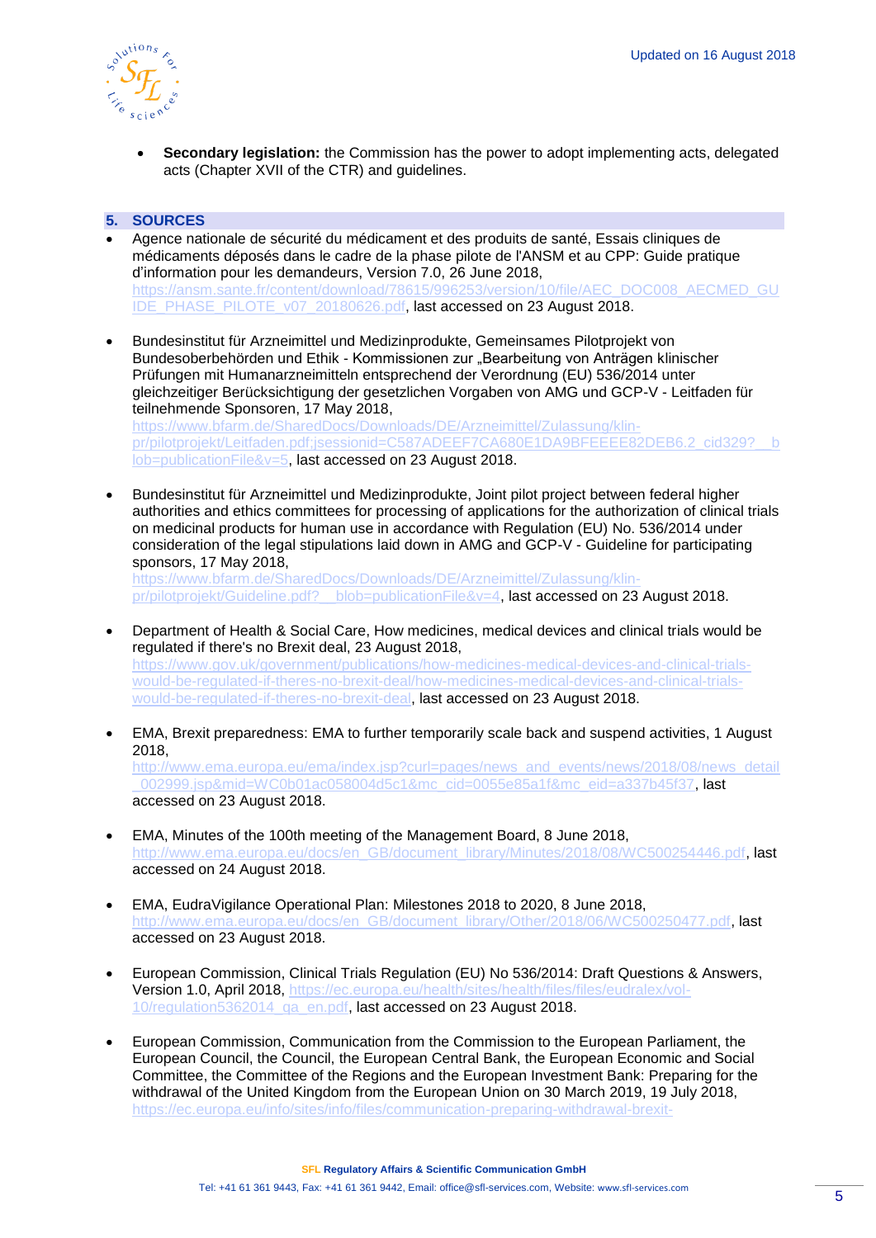

• **Secondary legislation:** the Commission has the power to adopt implementing acts, delegated acts (Chapter XVII of the CTR) and guidelines.

# **5. SOURCES**

- Agence nationale de sécurité du médicament et des produits de santé, Essais cliniques de médicaments déposés dans le cadre de la phase pilote de l'ANSM et au CPP: Guide pratique d'information pour les demandeurs, Version 7.0, 26 June 2018, [https://ansm.sante.fr/content/download/78615/996253/version/10/file/AEC\\_DOC008\\_AECMED\\_GU](https://ansm.sante.fr/content/download/78615/996253/version/10/file/AEC_DOC008_AECMED_GUIDE_PHASE_PILOTE_v07_20180626.pdf) [IDE\\_PHASE\\_PILOTE\\_v07\\_20180626.pdf,](https://ansm.sante.fr/content/download/78615/996253/version/10/file/AEC_DOC008_AECMED_GUIDE_PHASE_PILOTE_v07_20180626.pdf) last accessed on 23 August 2018.
- Bundesinstitut für Arzneimittel und Medizinprodukte, Gemeinsames Pilotprojekt von Bundesoberbehörden und Ethik - Kommissionen zur "Bearbeitung von Anträgen klinischer Prüfungen mit Humanarzneimitteln entsprechend der Verordnung (EU) 536/2014 unter gleichzeitiger Berücksichtigung der gesetzlichen Vorgaben von AMG und GCP-V - Leitfaden für teilnehmende Sponsoren, 17 May 2018, [https://www.bfarm.de/SharedDocs/Downloads/DE/Arzneimittel/Zulassung/klin](https://www.bfarm.de/SharedDocs/Downloads/DE/Arzneimittel/Zulassung/klin-pr/pilotprojekt/Leitfaden.pdf;jsessionid=C587ADEEF7CA680E1DA9BFEEEE82DEB6.2_cid329?__blob=publicationFile&v=5)pr/pilotprojekt/Leitfaden.pdf;jsessionid=C587ADEEF7CA680E1DA9BFEEEE82DEB6.2\_cid3292\_\_b [lob=publicationFile&v=5,](https://www.bfarm.de/SharedDocs/Downloads/DE/Arzneimittel/Zulassung/klin-pr/pilotprojekt/Leitfaden.pdf;jsessionid=C587ADEEF7CA680E1DA9BFEEEE82DEB6.2_cid329?__blob=publicationFile&v=5) last accessed on 23 August 2018.
- Bundesinstitut für Arzneimittel und Medizinprodukte, Joint pilot project between federal higher authorities and ethics committees for processing of applications for the authorization of clinical trials on medicinal products for human use in accordance with Regulation (EU) No. 536/2014 under consideration of the legal stipulations laid down in AMG and GCP-V - Guideline for participating sponsors, 17 May 2018,

[https://www.bfarm.de/SharedDocs/Downloads/DE/Arzneimittel/Zulassung/klin](https://www.bfarm.de/SharedDocs/Downloads/DE/Arzneimittel/Zulassung/klin-pr/pilotprojekt/Guideline.pdf?__blob=publicationFile&v=4)[pr/pilotprojekt/Guideline.pdf?\\_\\_blob=publicationFile&v=4,](https://www.bfarm.de/SharedDocs/Downloads/DE/Arzneimittel/Zulassung/klin-pr/pilotprojekt/Guideline.pdf?__blob=publicationFile&v=4) last accessed on 23 August 2018.

- Department of Health & Social Care, How medicines, medical devices and clinical trials would be regulated if there's no Brexit deal, 23 August 2018, [https://www.gov.uk/government/publications/how-medicines-medical-devices-and-clinical-trials](https://www.gov.uk/government/publications/how-medicines-medical-devices-and-clinical-trials-would-be-regulated-if-theres-no-brexit-deal/how-medicines-medical-devices-and-clinical-trials-would-be-regulated-if-theres-no-brexit-deal)[would-be-regulated-if-theres-no-brexit-deal/how-medicines-medical-devices-and-clinical-trials](https://www.gov.uk/government/publications/how-medicines-medical-devices-and-clinical-trials-would-be-regulated-if-theres-no-brexit-deal/how-medicines-medical-devices-and-clinical-trials-would-be-regulated-if-theres-no-brexit-deal)[would-be-regulated-if-theres-no-brexit-deal,](https://www.gov.uk/government/publications/how-medicines-medical-devices-and-clinical-trials-would-be-regulated-if-theres-no-brexit-deal/how-medicines-medical-devices-and-clinical-trials-would-be-regulated-if-theres-no-brexit-deal) last accessed on 23 August 2018.
- EMA, Brexit preparedness: EMA to further temporarily scale back and suspend activities, 1 August 2018, [http://www.ema.europa.eu/ema/index.jsp?curl=pages/news\\_and\\_events/news/2018/08/news\\_detail](http://www.ema.europa.eu/ema/index.jsp?curl=pages/news_and_events/news/2018/08/news_detail_002999.jsp&mid=WC0b01ac058004d5c1&mc_cid=0055e85a1f&mc_eid=a337b45f37)

[\\_002999.jsp&mid=WC0b01ac058004d5c1&mc\\_cid=0055e85a1f&mc\\_eid=a337b45f37,](http://www.ema.europa.eu/ema/index.jsp?curl=pages/news_and_events/news/2018/08/news_detail_002999.jsp&mid=WC0b01ac058004d5c1&mc_cid=0055e85a1f&mc_eid=a337b45f37) last accessed on 23 August 2018.

- EMA, Minutes of the 100th meeting of the Management Board, 8 June 2018, [http://www.ema.europa.eu/docs/en\\_GB/document\\_library/Minutes/2018/08/WC500254446.pdf,](http://www.ema.europa.eu/docs/en_GB/document_library/Minutes/2018/08/WC500254446.pdf) last accessed on 24 August 2018.
- EMA, EudraVigilance Operational Plan: Milestones 2018 to 2020, 8 June 2018, http://www.ema.europa.eu/docs/en\_GB/document\_library/Other/2018/06/WC500250477.pdf. last accessed on 23 August 2018.
- European Commission, Clinical Trials Regulation (EU) No 536/2014: Draft Questions & Answers, Version 1.0, April 2018, [https://ec.europa.eu/health/sites/health/files/files/eudralex/vol-](https://ec.europa.eu/health/sites/health/files/files/eudralex/vol-10/regulation5362014_qa_en.pdf)[10/regulation5362014\\_qa\\_en.pdf,](https://ec.europa.eu/health/sites/health/files/files/eudralex/vol-10/regulation5362014_qa_en.pdf) last accessed on 23 August 2018.
- European Commission, Communication from the Commission to the European Parliament, the European Council, the Council, the European Central Bank, the European Economic and Social Committee, the Committee of the Regions and the European Investment Bank: Preparing for the withdrawal of the United Kingdom from the European Union on 30 March 2019, 19 July 2018, [https://ec.europa.eu/info/sites/info/files/communication-preparing-withdrawal-brexit-](https://ec.europa.eu/info/sites/info/files/communication-preparing-withdrawal-brexit-preparedness.pdf)